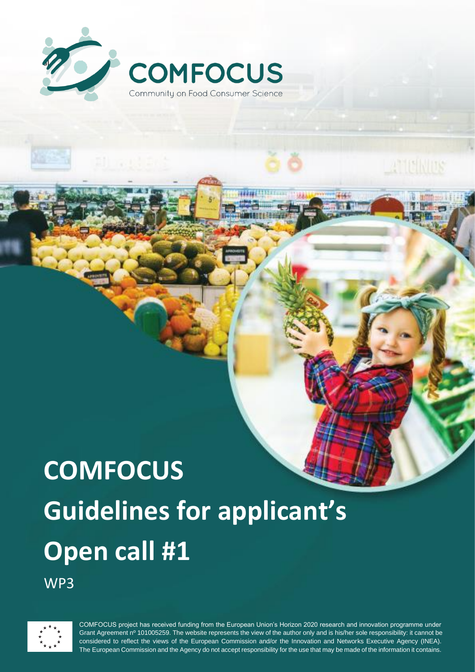

# **COMFOCUS Guidelines for applicant's Open call #1**

WP3



COMFOCUS project has received funding from the European Union's Horizon 2020 research and innovation programme under Grant Agreement nº 101005259. The website represents the view of the author only and is his/her sole responsibility: it cannot be considered to reflect the views of the European Commission and/or the Innovation and Networks Executive Agency (INEA). The European Commission and the Agency do not accept responsibility for the use that may be made of the information it contains.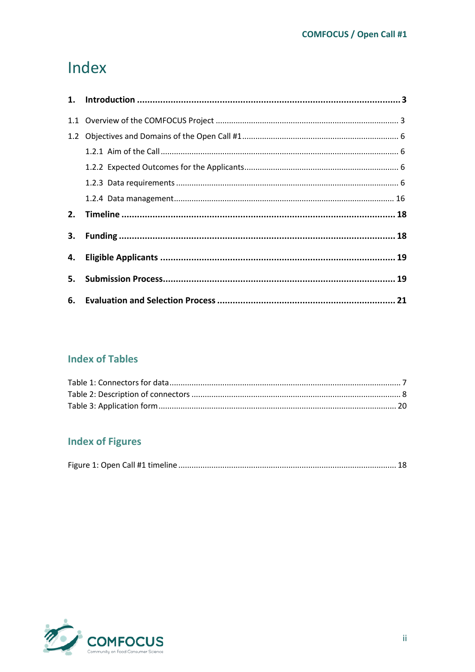## Index

| 2. |  |
|----|--|
| 3. |  |
|    |  |
|    |  |
|    |  |

## **Index of Tables**

## **Index of Figures**

|--|

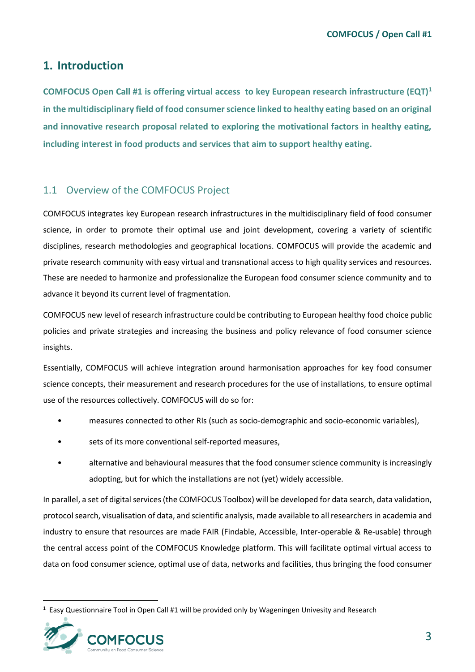## <span id="page-2-0"></span>**1. Introduction**

**COMFOCUS Open Call #1 is offering virtual access to key European research infrastructure (EQT)<sup>1</sup> in the multidisciplinary field of food consumer science linked to healthy eating based on an original and innovative research proposal related to exploring the motivational factors in healthy eating, including interest in food products and services that aim to support healthy eating.**

## <span id="page-2-1"></span>1.1 Overview of the COMFOCUS Project

COMFOCUS integrates key European research infrastructures in the multidisciplinary field of food consumer science, in order to promote their optimal use and joint development, covering a variety of scientific disciplines, research methodologies and geographical locations. COMFOCUS will provide the academic and private research community with easy virtual and transnational access to high quality services and resources. These are needed to harmonize and professionalize the European food consumer science community and to advance it beyond its current level of fragmentation.

COMFOCUS new level of research infrastructure could be contributing to European healthy food choice public policies and private strategies and increasing the business and policy relevance of food consumer science insights.

Essentially, COMFOCUS will achieve integration around harmonisation approaches for key food consumer science concepts, their measurement and research procedures for the use of installations, to ensure optimal use of the resources collectively. COMFOCUS will do so for:

- measures connected to other RIs (such as socio-demographic and socio-economic variables),
- sets of its more conventional self-reported measures,
- alternative and behavioural measures that the food consumer science community is increasingly adopting, but for which the installations are not (yet) widely accessible.

In parallel, a set of digital services (the COMFOCUS Toolbox) will be developed for data search, data validation, protocol search, visualisation of data, and scientific analysis, made available to all researchers in academia and industry to ensure that resources are made FAIR (Findable, Accessible, Inter-operable & Re-usable) through the central access point of the COMFOCUS Knowledge platform. This will facilitate optimal virtual access to data on food consumer science, optimal use of data, networks and facilities, thus bringing the food consumer

<sup>&</sup>lt;sup>1</sup> Easy Questionnaire Tool in Open Call #1 will be provided only by Wageningen Univesity and Research

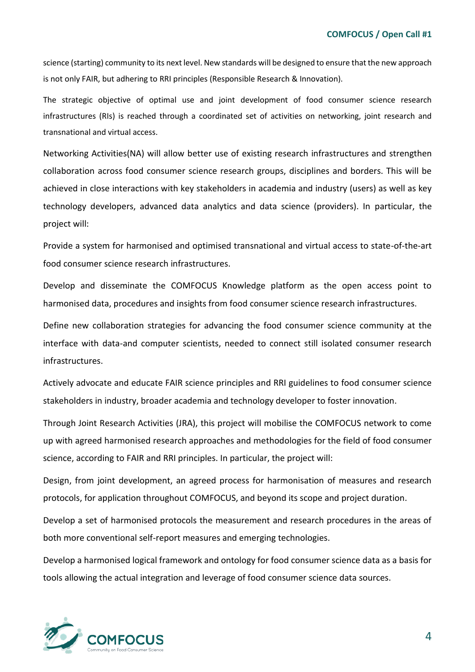science (starting) community to its next level. New standards will be designed to ensure that the new approach is not only FAIR, but adhering to RRI principles (Responsible Research & Innovation).

The strategic objective of optimal use and joint development of food consumer science research infrastructures (RIs) is reached through a coordinated set of activities on networking, joint research and transnational and virtual access.

Networking Activities(NA) will allow better use of existing research infrastructures and strengthen collaboration across food consumer science research groups, disciplines and borders. This will be achieved in close interactions with key stakeholders in academia and industry (users) as well as key technology developers, advanced data analytics and data science (providers). In particular, the project will:

Provide a system for harmonised and optimised transnational and virtual access to state-of-the-art food consumer science research infrastructures.

Develop and disseminate the COMFOCUS Knowledge platform as the open access point to harmonised data, procedures and insights from food consumer science research infrastructures.

Define new collaboration strategies for advancing the food consumer science community at the interface with data-and computer scientists, needed to connect still isolated consumer research infrastructures.

Actively advocate and educate FAIR science principles and RRI guidelines to food consumer science stakeholders in industry, broader academia and technology developer to foster innovation.

Through Joint Research Activities (JRA), this project will mobilise the COMFOCUS network to come up with agreed harmonised research approaches and methodologies for the field of food consumer science, according to FAIR and RRI principles. In particular, the project will:

Design, from joint development, an agreed process for harmonisation of measures and research protocols, for application throughout COMFOCUS, and beyond its scope and project duration.

Develop a set of harmonised protocols the measurement and research procedures in the areas of both more conventional self-report measures and emerging technologies.

Develop a harmonised logical framework and ontology for food consumer science data as a basis for tools allowing the actual integration and leverage of food consumer science data sources.

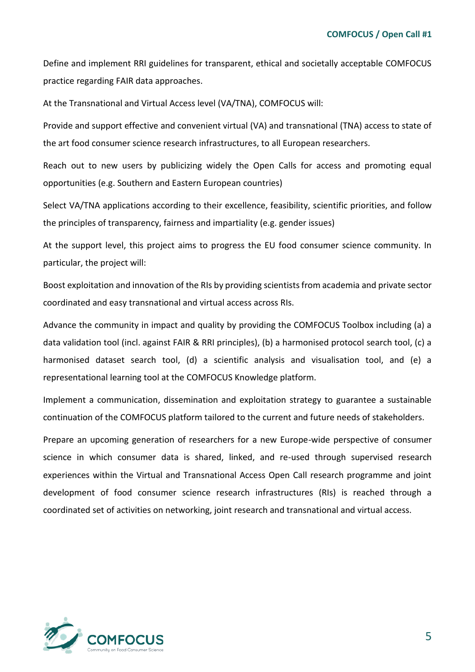Define and implement RRI guidelines for transparent, ethical and societally acceptable COMFOCUS practice regarding FAIR data approaches.

At the Transnational and Virtual Access level (VA/TNA), COMFOCUS will:

Provide and support effective and convenient virtual (VA) and transnational (TNA) access to state of the art food consumer science research infrastructures, to all European researchers.

Reach out to new users by publicizing widely the Open Calls for access and promoting equal opportunities (e.g. Southern and Eastern European countries)

Select VA/TNA applications according to their excellence, feasibility, scientific priorities, and follow the principles of transparency, fairness and impartiality (e.g. gender issues)

At the support level, this project aims to progress the EU food consumer science community. In particular, the project will:

Boost exploitation and innovation of the RIs by providing scientists from academia and private sector coordinated and easy transnational and virtual access across RIs.

Advance the community in impact and quality by providing the COMFOCUS Toolbox including (a) a data validation tool (incl. against FAIR & RRI principles), (b) a harmonised protocol search tool, (c) a harmonised dataset search tool, (d) a scientific analysis and visualisation tool, and (e) a representational learning tool at the COMFOCUS Knowledge platform.

Implement a communication, dissemination and exploitation strategy to guarantee a sustainable continuation of the COMFOCUS platform tailored to the current and future needs of stakeholders.

Prepare an upcoming generation of researchers for a new Europe-wide perspective of consumer science in which consumer data is shared, linked, and re-used through supervised research experiences within the Virtual and Transnational Access Open Call research programme and joint development of food consumer science research infrastructures (RIs) is reached through a coordinated set of activities on networking, joint research and transnational and virtual access.

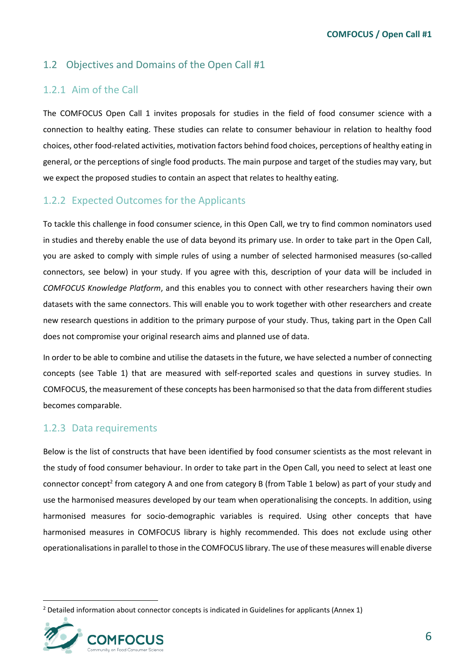## <span id="page-5-0"></span>1.2 Objectives and Domains of the Open Call #1

## <span id="page-5-1"></span>1.2.1 Aim of the Call

The COMFOCUS Open Call 1 invites proposals for studies in the field of food consumer science with a connection to healthy eating. These studies can relate to consumer behaviour in relation to healthy food choices, other food-related activities, motivation factors behind food choices, perceptions of healthy eating in general, or the perceptions of single food products. The main purpose and target of the studies may vary, but we expect the proposed studies to contain an aspect that relates to healthy eating.

#### <span id="page-5-2"></span>1.2.2 Expected Outcomes for the Applicants

To tackle this challenge in food consumer science, in this Open Call, we try to find common nominators used in studies and thereby enable the use of data beyond its primary use. In order to take part in the Open Call, you are asked to comply with simple rules of using a number of selected harmonised measures (so-called connectors, see below) in your study. If you agree with this, description of your data will be included in *COMFOCUS Knowledge Platform*, and this enables you to connect with other researchers having their own datasets with the same connectors. This will enable you to work together with other researchers and create new research questions in addition to the primary purpose of your study. Thus, taking part in the Open Call does not compromise your original research aims and planned use of data.

In order to be able to combine and utilise the datasets in the future, we have selected a number of connecting concepts (see Table 1) that are measured with self-reported scales and questions in survey studies. In COMFOCUS, the measurement of these concepts has been harmonised so that the data from different studies becomes comparable.

#### <span id="page-5-3"></span>1.2.3 Data requirements

Below is the list of constructs that have been identified by food consumer scientists as the most relevant in the study of food consumer behaviour. In order to take part in the Open Call, you need to select at least one connector concept<sup>2</sup> from category A and one from category B (from Table 1 below) as part of your study and use the harmonised measures developed by our team when operationalising the concepts. In addition, using harmonised measures for socio-demographic variables is required. Using other concepts that have harmonised measures in COMFOCUS library is highly recommended. This does not exclude using other operationalisations in parallel to those in the COMFOCUS library. The use of these measures will enable diverse

<sup>&</sup>lt;sup>2</sup> Detailed information about connector concepts is indicated in Guidelines for applicants (Annex 1)

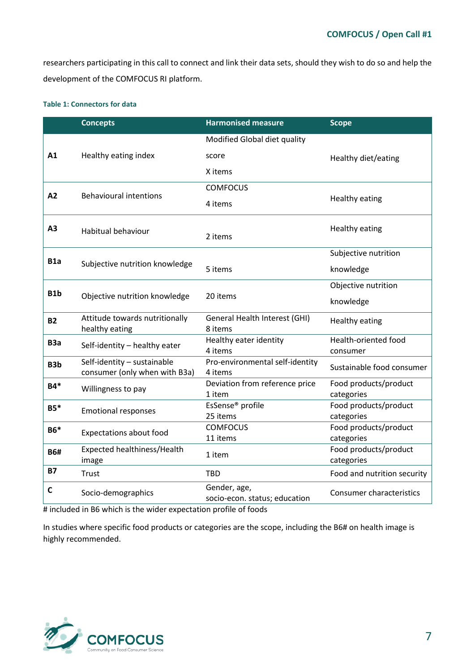researchers participating in this call to connect and link their data sets, should they wish to do so and help the development of the COMFOCUS RI platform.

#### <span id="page-6-0"></span>**Table 1: Connectors for data**

|                  | <b>Concepts</b>                                              | <b>Harmonised measure</b>                     | <b>Scope</b>                            |
|------------------|--------------------------------------------------------------|-----------------------------------------------|-----------------------------------------|
|                  |                                                              | Modified Global diet quality                  |                                         |
| A1               | Healthy eating index                                         | score                                         | Healthy diet/eating                     |
|                  |                                                              | X items                                       |                                         |
|                  |                                                              | <b>COMFOCUS</b>                               |                                         |
| A2               | <b>Behavioural intentions</b>                                | 4 items                                       | <b>Healthy eating</b>                   |
| A3               | Habitual behaviour                                           | 2 items                                       | <b>Healthy eating</b>                   |
|                  |                                                              |                                               | Subjective nutrition                    |
| B <sub>1</sub> a | Subjective nutrition knowledge                               | 5 items                                       | knowledge                               |
| B1b              | Objective nutrition knowledge                                | 20 items                                      | Objective nutrition                     |
|                  |                                                              |                                               | knowledge                               |
| <b>B2</b>        | Attitude towards nutritionally<br>healthy eating             | General Health Interest (GHI)<br>8 items      | <b>Healthy eating</b>                   |
| B <sub>3</sub> a | Self-identity - healthy eater                                | Healthy eater identity<br>4 items             | <b>Health-oriented food</b><br>consumer |
| B <sub>3</sub> b | Self-identity - sustainable<br>consumer (only when with B3a) | Pro-environmental self-identity<br>4 items    | Sustainable food consumer               |
| <b>B4*</b>       | Willingness to pay                                           | Deviation from reference price<br>1 item      | Food products/product<br>categories     |
| $B5*$            | <b>Emotional responses</b>                                   | EsSense <sup>®</sup> profile<br>25 items      | Food products/product<br>categories     |
| <b>B6*</b>       | <b>Expectations about food</b>                               | <b>COMFOCUS</b><br>11 items                   | Food products/product<br>categories     |
| <b>B6#</b>       | Expected healthiness/Health<br>image                         | 1 item                                        | Food products/product<br>categories     |
| <b>B7</b>        | Trust                                                        | <b>TBD</b>                                    | Food and nutrition security             |
| C                | Socio-demographics                                           | Gender, age,<br>socio-econ. status; education | <b>Consumer characteristics</b>         |

# included in B6 which is the wider expectation profile of foods

In studies where specific food products or categories are the scope, including the B6# on health image is highly recommended.

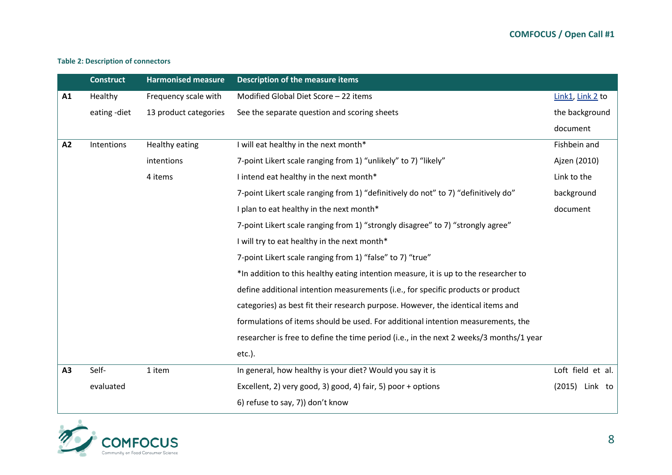#### **Table 2: Description of connectors**

|    | <b>Construct</b> | <b>Harmonised measure</b> | <b>Description of the measure items</b>                                                 |                   |
|----|------------------|---------------------------|-----------------------------------------------------------------------------------------|-------------------|
| A1 | Healthy          | Frequency scale with      | Modified Global Diet Score - 22 items                                                   | Link1, Link2 to   |
|    | eating -diet     | 13 product categories     | See the separate question and scoring sheets                                            | the background    |
|    |                  |                           |                                                                                         | document          |
| A2 | Intentions       | Healthy eating            | I will eat healthy in the next month*                                                   | Fishbein and      |
|    |                  | intentions                | 7-point Likert scale ranging from 1) "unlikely" to 7) "likely"                          | Ajzen (2010)      |
|    |                  | 4 items                   | I intend eat healthy in the next month*                                                 | Link to the       |
|    |                  |                           | 7-point Likert scale ranging from 1) "definitively do not" to 7) "definitively do"      | background        |
|    |                  |                           | I plan to eat healthy in the next month*                                                | document          |
|    |                  |                           | 7-point Likert scale ranging from 1) "strongly disagree" to 7) "strongly agree"         |                   |
|    |                  |                           | I will try to eat healthy in the next month*                                            |                   |
|    |                  |                           | 7-point Likert scale ranging from 1) "false" to 7) "true"                               |                   |
|    |                  |                           | *In addition to this healthy eating intention measure, it is up to the researcher to    |                   |
|    |                  |                           | define additional intention measurements (i.e., for specific products or product        |                   |
|    |                  |                           | categories) as best fit their research purpose. However, the identical items and        |                   |
|    |                  |                           | formulations of items should be used. For additional intention measurements, the        |                   |
|    |                  |                           | researcher is free to define the time period (i.e., in the next 2 weeks/3 months/1 year |                   |
|    |                  |                           | $etc.$ ).                                                                               |                   |
| A3 | Self-            | 1 item                    | In general, how healthy is your diet? Would you say it is                               | Loft field et al. |
|    | evaluated        |                           | Excellent, 2) very good, 3) good, 4) fair, 5) poor + options                            | (2015)<br>Link to |
|    |                  |                           | 6) refuse to say, 7)) don't know                                                        |                   |

<span id="page-7-0"></span>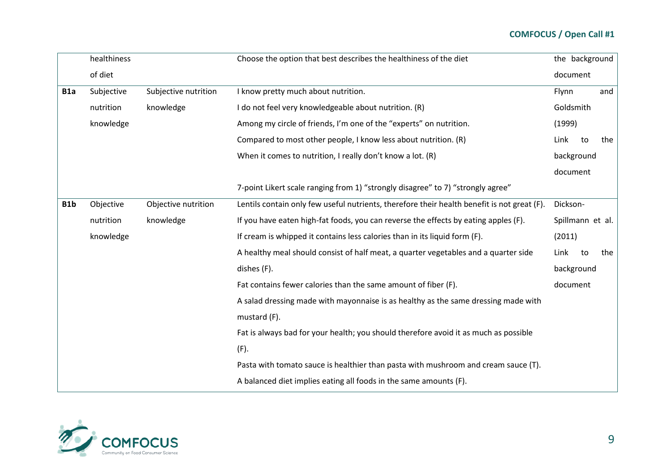|                  | healthiness |                      | Choose the option that best describes the healthiness of the diet                           | the background   |    |     |
|------------------|-------------|----------------------|---------------------------------------------------------------------------------------------|------------------|----|-----|
|                  | of diet     |                      |                                                                                             | document         |    |     |
| B <sub>1</sub> a | Subjective  | Subjective nutrition | I know pretty much about nutrition.                                                         | Flynn            |    | and |
|                  | nutrition   | knowledge            | I do not feel very knowledgeable about nutrition. (R)                                       | Goldsmith        |    |     |
|                  | knowledge   |                      | Among my circle of friends, I'm one of the "experts" on nutrition.                          | (1999)           |    |     |
|                  |             |                      | Compared to most other people, I know less about nutrition. (R)                             | Link             | to | the |
|                  |             |                      | When it comes to nutrition, I really don't know a lot. (R)                                  | background       |    |     |
|                  |             |                      |                                                                                             | document         |    |     |
|                  |             |                      | 7-point Likert scale ranging from 1) "strongly disagree" to 7) "strongly agree"             |                  |    |     |
| B <sub>1</sub> b | Objective   | Objective nutrition  | Lentils contain only few useful nutrients, therefore their health benefit is not great (F). | Dickson-         |    |     |
|                  | nutrition   | knowledge            | If you have eaten high-fat foods, you can reverse the effects by eating apples (F).         | Spillmann et al. |    |     |
|                  | knowledge   |                      | If cream is whipped it contains less calories than in its liquid form (F).                  | (2011)           |    |     |
|                  |             |                      | A healthy meal should consist of half meat, a quarter vegetables and a quarter side         | Link             | to | the |
|                  |             |                      | dishes (F).                                                                                 | background       |    |     |
|                  |             |                      | Fat contains fewer calories than the same amount of fiber (F).                              | document         |    |     |
|                  |             |                      | A salad dressing made with mayonnaise is as healthy as the same dressing made with          |                  |    |     |
|                  |             |                      | mustard (F).                                                                                |                  |    |     |
|                  |             |                      | Fat is always bad for your health; you should therefore avoid it as much as possible        |                  |    |     |
|                  |             |                      | (F).                                                                                        |                  |    |     |
|                  |             |                      | Pasta with tomato sauce is healthier than pasta with mushroom and cream sauce (T).          |                  |    |     |
|                  |             |                      | A balanced diet implies eating all foods in the same amounts (F).                           |                  |    |     |

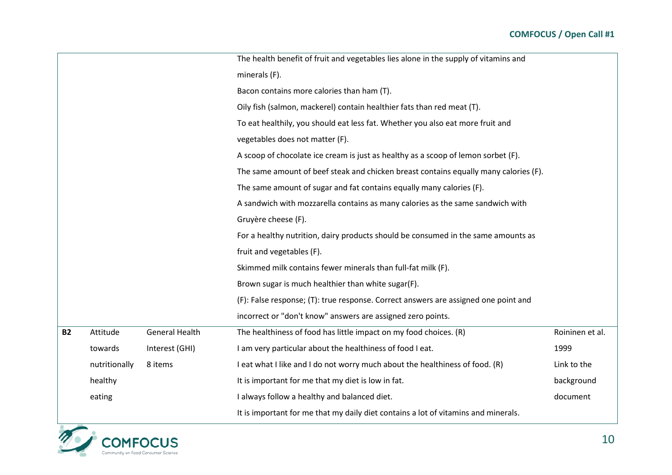|           |               |                       | The health benefit of fruit and vegetables lies alone in the supply of vitamins and  |                 |  |
|-----------|---------------|-----------------------|--------------------------------------------------------------------------------------|-----------------|--|
|           |               |                       | minerals (F).                                                                        |                 |  |
|           |               |                       | Bacon contains more calories than ham (T).                                           |                 |  |
|           |               |                       | Oily fish (salmon, mackerel) contain healthier fats than red meat (T).               |                 |  |
|           |               |                       | To eat healthily, you should eat less fat. Whether you also eat more fruit and       |                 |  |
|           |               |                       | vegetables does not matter (F).                                                      |                 |  |
|           |               |                       | A scoop of chocolate ice cream is just as healthy as a scoop of lemon sorbet (F).    |                 |  |
|           |               |                       | The same amount of beef steak and chicken breast contains equally many calories (F). |                 |  |
|           |               |                       | The same amount of sugar and fat contains equally many calories (F).                 |                 |  |
|           |               |                       | A sandwich with mozzarella contains as many calories as the same sandwich with       |                 |  |
|           |               |                       | Gruyère cheese (F).                                                                  |                 |  |
|           |               |                       | For a healthy nutrition, dairy products should be consumed in the same amounts as    |                 |  |
|           |               |                       | fruit and vegetables (F).                                                            |                 |  |
|           |               |                       | Skimmed milk contains fewer minerals than full-fat milk (F).                         |                 |  |
|           |               |                       | Brown sugar is much healthier than white sugar(F).                                   |                 |  |
|           |               |                       | (F): False response; (T): true response. Correct answers are assigned one point and  |                 |  |
|           |               |                       | incorrect or "don't know" answers are assigned zero points.                          |                 |  |
| <b>B2</b> | Attitude      | <b>General Health</b> | The healthiness of food has little impact on my food choices. (R)                    | Roininen et al. |  |
|           | towards       | Interest (GHI)        | I am very particular about the healthiness of food I eat.                            | 1999            |  |
|           | nutritionally | 8 items               | I eat what I like and I do not worry much about the healthiness of food. (R)         | Link to the     |  |
|           | healthy       |                       | It is important for me that my diet is low in fat.                                   | background      |  |
|           | eating        |                       | I always follow a healthy and balanced diet.                                         | document        |  |
|           |               |                       | It is important for me that my daily diet contains a lot of vitamins and minerals.   |                 |  |

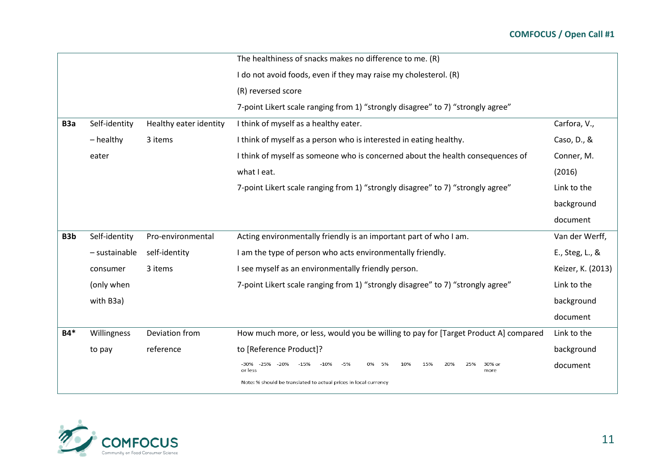|                  |               |                        | The healthiness of snacks makes no difference to me. (R)                                    |                   |
|------------------|---------------|------------------------|---------------------------------------------------------------------------------------------|-------------------|
|                  |               |                        | I do not avoid foods, even if they may raise my cholesterol. (R)                            |                   |
|                  |               |                        | (R) reversed score                                                                          |                   |
|                  |               |                        | 7-point Likert scale ranging from 1) "strongly disagree" to 7) "strongly agree"             |                   |
| B <sub>3</sub> a | Self-identity | Healthy eater identity | I think of myself as a healthy eater.                                                       | Carfora, V.,      |
|                  | $-$ healthy   | 3 items                | I think of myself as a person who is interested in eating healthy.                          | Caso, D., &       |
|                  | eater         |                        | I think of myself as someone who is concerned about the health consequences of              | Conner, M.        |
|                  |               |                        | what I eat.                                                                                 | (2016)            |
|                  |               |                        | 7-point Likert scale ranging from 1) "strongly disagree" to 7) "strongly agree"             | Link to the       |
|                  |               |                        |                                                                                             | background        |
|                  |               |                        |                                                                                             | document          |
| B <sub>3</sub> b | Self-identity | Pro-environmental      | Acting environmentally friendly is an important part of who I am.                           | Van der Werff,    |
|                  | - sustainable | self-identity          | I am the type of person who acts environmentally friendly.                                  | E., Steg, L., &   |
|                  | consumer      | 3 items                | I see myself as an environmentally friendly person.                                         | Keizer, K. (2013) |
|                  | (only when    |                        | 7-point Likert scale ranging from 1) "strongly disagree" to 7) "strongly agree"             | Link to the       |
|                  | with B3a)     |                        |                                                                                             | background        |
|                  |               |                        |                                                                                             | document          |
| <b>B4*</b>       | Willingness   | Deviation from         | How much more, or less, would you be willing to pay for [Target Product A] compared         | Link to the       |
|                  | to pay        | reference              | to [Reference Product]?                                                                     | background        |
|                  |               |                        | $-5%$<br>15%<br>-30%<br>$-25%$<br>-20%<br>$-15%$<br>10%<br>20%<br>30% оі<br>or less<br>more | document          |
|                  |               |                        | Note: % should be translated to actual prices in local currency                             |                   |
|                  |               |                        |                                                                                             |                   |

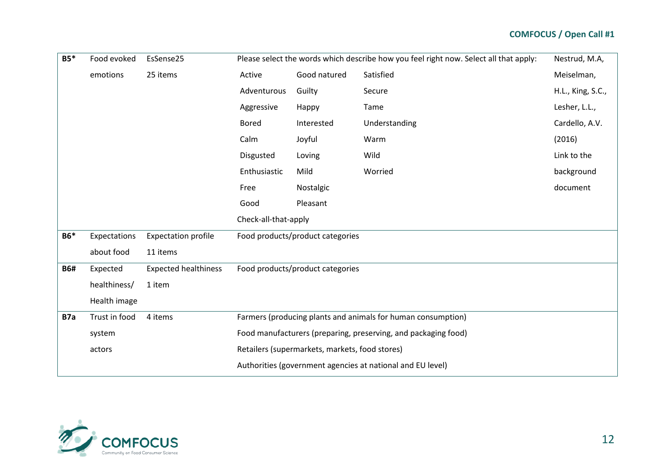| <b>B5*</b> | Food evoked   | EsSense25                   | Please select the words which describe how you feel right now. Select all that apply:<br>Nestrud, M.A, |                                  |                                                                |                   |
|------------|---------------|-----------------------------|--------------------------------------------------------------------------------------------------------|----------------------------------|----------------------------------------------------------------|-------------------|
|            | emotions      | 25 items                    | Active                                                                                                 | Good natured                     | Satisfied                                                      | Meiselman,        |
|            |               |                             | Adventurous                                                                                            | Guilty                           | Secure                                                         | H.L., King, S.C., |
|            |               |                             | Aggressive                                                                                             | Happy                            | Tame                                                           | Lesher, L.L.,     |
|            |               |                             | <b>Bored</b>                                                                                           | Interested                       | Understanding                                                  | Cardello, A.V.    |
|            |               |                             | Calm                                                                                                   | Joyful                           | Warm                                                           | (2016)            |
|            |               |                             | Disgusted                                                                                              | Loving                           | Wild                                                           | Link to the       |
|            |               |                             | Enthusiastic                                                                                           | Mild                             | Worried                                                        | background        |
|            |               |                             | Free                                                                                                   | Nostalgic                        |                                                                | document          |
|            |               |                             | Good                                                                                                   | Pleasant                         |                                                                |                   |
|            |               |                             | Check-all-that-apply                                                                                   |                                  |                                                                |                   |
| <b>B6*</b> | Expectations  | <b>Expectation profile</b>  |                                                                                                        | Food products/product categories |                                                                |                   |
|            | about food    | 11 items                    |                                                                                                        |                                  |                                                                |                   |
| <b>B6#</b> | Expected      | <b>Expected healthiness</b> |                                                                                                        | Food products/product categories |                                                                |                   |
|            | healthiness/  | 1 item                      |                                                                                                        |                                  |                                                                |                   |
|            | Health image  |                             |                                                                                                        |                                  |                                                                |                   |
| B7a        | Trust in food | 4 items                     |                                                                                                        |                                  | Farmers (producing plants and animals for human consumption)   |                   |
|            | system        |                             |                                                                                                        |                                  | Food manufacturers (preparing, preserving, and packaging food) |                   |
|            | actors        |                             | Retailers (supermarkets, markets, food stores)                                                         |                                  |                                                                |                   |
|            |               |                             |                                                                                                        |                                  | Authorities (government agencies at national and EU level)     |                   |

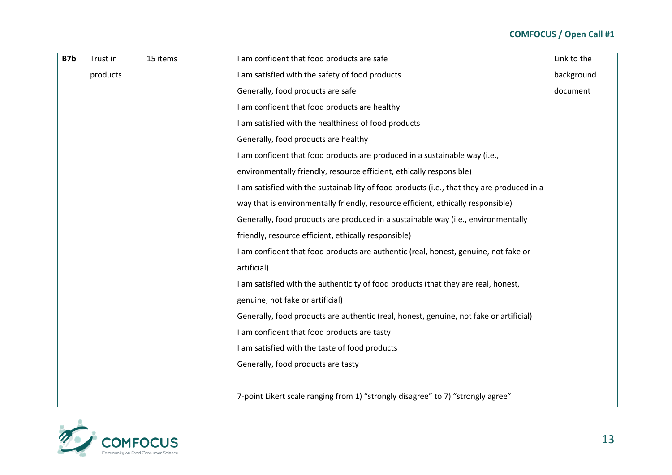| B7b | Trust in | 15 items | I am confident that food products are safe                                                 | Link to the |
|-----|----------|----------|--------------------------------------------------------------------------------------------|-------------|
|     | products |          | I am satisfied with the safety of food products                                            | background  |
|     |          |          | Generally, food products are safe                                                          | document    |
|     |          |          | I am confident that food products are healthy                                              |             |
|     |          |          | I am satisfied with the healthiness of food products                                       |             |
|     |          |          | Generally, food products are healthy                                                       |             |
|     |          |          | I am confident that food products are produced in a sustainable way (i.e.,                 |             |
|     |          |          | environmentally friendly, resource efficient, ethically responsible)                       |             |
|     |          |          | I am satisfied with the sustainability of food products (i.e., that they are produced in a |             |
|     |          |          | way that is environmentally friendly, resource efficient, ethically responsible)           |             |
|     |          |          | Generally, food products are produced in a sustainable way (i.e., environmentally          |             |
|     |          |          | friendly, resource efficient, ethically responsible)                                       |             |
|     |          |          | I am confident that food products are authentic (real, honest, genuine, not fake or        |             |
|     |          |          | artificial)                                                                                |             |
|     |          |          | I am satisfied with the authenticity of food products (that they are real, honest,         |             |
|     |          |          | genuine, not fake or artificial)                                                           |             |
|     |          |          | Generally, food products are authentic (real, honest, genuine, not fake or artificial)     |             |
|     |          |          | I am confident that food products are tasty                                                |             |
|     |          |          | I am satisfied with the taste of food products                                             |             |
|     |          |          | Generally, food products are tasty                                                         |             |
|     |          |          | 7-point Likert scale ranging from 1) "strongly disagree" to 7) "strongly agree"            |             |

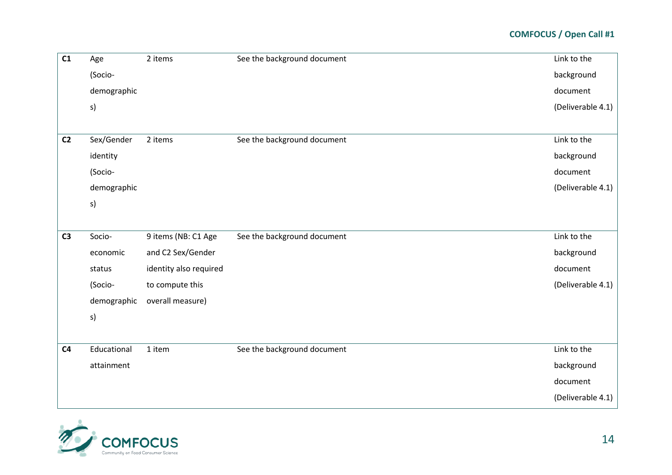| C1             | Age         | 2 items                | See the background document | Link to the       |
|----------------|-------------|------------------------|-----------------------------|-------------------|
|                | (Socio-     |                        |                             | background        |
|                | demographic |                        |                             | document          |
|                | s)          |                        |                             | (Deliverable 4.1) |
|                |             |                        |                             |                   |
| C <sub>2</sub> | Sex/Gender  | 2 items                | See the background document | Link to the       |
|                | identity    |                        |                             | background        |
|                | (Socio-     |                        |                             | document          |
|                | demographic |                        |                             | (Deliverable 4.1) |
|                | s)          |                        |                             |                   |
|                |             |                        |                             |                   |
| C <sub>3</sub> | Socio-      | 9 items (NB: C1 Age    | See the background document | Link to the       |
|                | economic    | and C2 Sex/Gender      |                             | background        |
|                | status      | identity also required |                             | document          |
|                | (Socio-     | to compute this        |                             | (Deliverable 4.1) |
|                | demographic | overall measure)       |                             |                   |
|                | s)          |                        |                             |                   |
|                |             |                        |                             |                   |
| C <sub>4</sub> | Educational | 1 item                 | See the background document | Link to the       |
|                | attainment  |                        |                             | background        |
|                |             |                        |                             | document          |
|                |             |                        |                             | (Deliverable 4.1) |

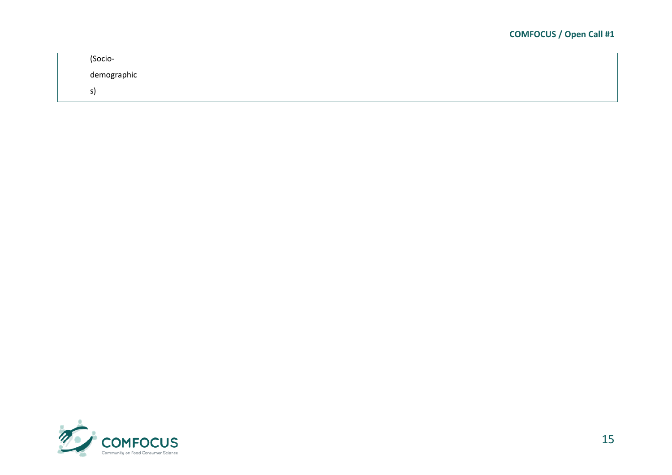| (Socio-     |
|-------------|
| demographic |
| э.          |

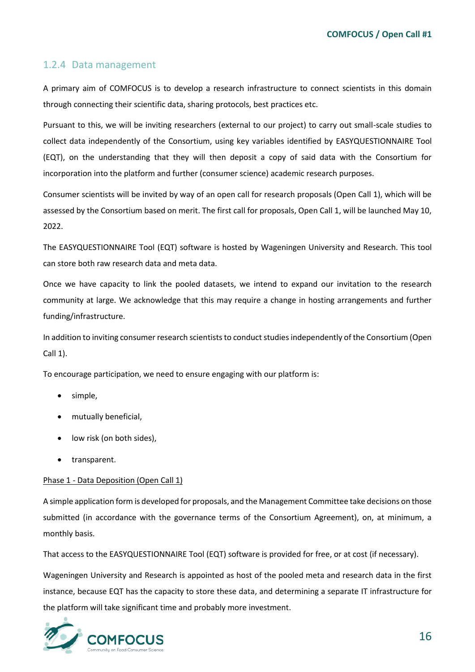#### <span id="page-15-0"></span>1.2.4 Data management

A primary aim of COMFOCUS is to develop a research infrastructure to connect scientists in this domain through connecting their scientific data, sharing protocols, best practices etc.

Pursuant to this, we will be inviting researchers (external to our project) to carry out small-scale studies to collect data independently of the Consortium, using key variables identified by EASYQUESTIONNAIRE Tool (EQT), on the understanding that they will then deposit a copy of said data with the Consortium for incorporation into the platform and further (consumer science) academic research purposes.

Consumer scientists will be invited by way of an open call for research proposals (Open Call 1), which will be assessed by the Consortium based on merit. The first call for proposals, Open Call 1, will be launched May 10, 2022.

The EASYQUESTIONNAIRE Tool (EQT) software is hosted by Wageningen University and Research. This tool can store both raw research data and meta data.

Once we have capacity to link the pooled datasets, we intend to expand our invitation to the research community at large. We acknowledge that this may require a change in hosting arrangements and further funding/infrastructure.

In addition to inviting consumer research scientists to conduct studies independently of the Consortium (Open Call 1).

To encourage participation, we need to ensure engaging with our platform is:

- simple,
- mutually beneficial,
- low risk (on both sides),
- transparent.

#### Phase 1 - Data Deposition (Open Call 1)

A simple application form is developed for proposals, and the Management Committee take decisions on those submitted (in accordance with the governance terms of the Consortium Agreement), on, at minimum, a monthly basis.

That access to the EASYQUESTIONNAIRE Tool (EQT) software is provided for free, or at cost (if necessary).

Wageningen University and Research is appointed as host of the pooled meta and research data in the first instance, because EQT has the capacity to store these data, and determining a separate IT infrastructure for the platform will take significant time and probably more investment.

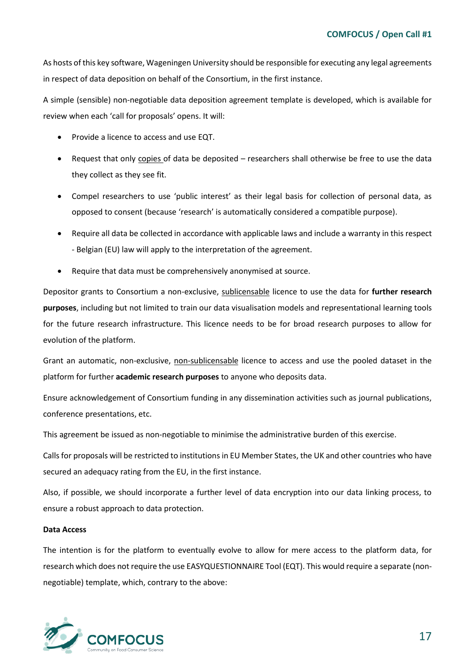As hosts of this key software, Wageningen University should be responsible for executing any legal agreements in respect of data deposition on behalf of the Consortium, in the first instance.

A simple (sensible) non-negotiable data deposition agreement template is developed, which is available for review when each 'call for proposals' opens. It will:

- Provide a licence to access and use EQT.
- Request that only copies of data be deposited researchers shall otherwise be free to use the data they collect as they see fit.
- Compel researchers to use 'public interest' as their legal basis for collection of personal data, as opposed to consent (because 'research' is automatically considered a compatible purpose).
- Require all data be collected in accordance with applicable laws and include a warranty in this respect - Belgian (EU) law will apply to the interpretation of the agreement.
- Require that data must be comprehensively anonymised at source.

Depositor grants to Consortium a non-exclusive, sublicensable licence to use the data for **further research purposes**, including but not limited to train our data visualisation models and representational learning tools for the future research infrastructure. This licence needs to be for broad research purposes to allow for evolution of the platform.

Grant an automatic, non-exclusive, non-sublicensable licence to access and use the pooled dataset in the platform for further **academic research purposes** to anyone who deposits data.

Ensure acknowledgement of Consortium funding in any dissemination activities such as journal publications, conference presentations, etc.

This agreement be issued as non-negotiable to minimise the administrative burden of this exercise.

Calls for proposals will be restricted to institutions in EU Member States, the UK and other countries who have secured an adequacy rating from the EU, in the first instance.

Also, if possible, we should incorporate a further level of data encryption into our data linking process, to ensure a robust approach to data protection.

#### **Data Access**

The intention is for the platform to eventually evolve to allow for mere access to the platform data, for research which does not require the use EASYQUESTIONNAIRE Tool (EQT). This would require a separate (nonnegotiable) template, which, contrary to the above:

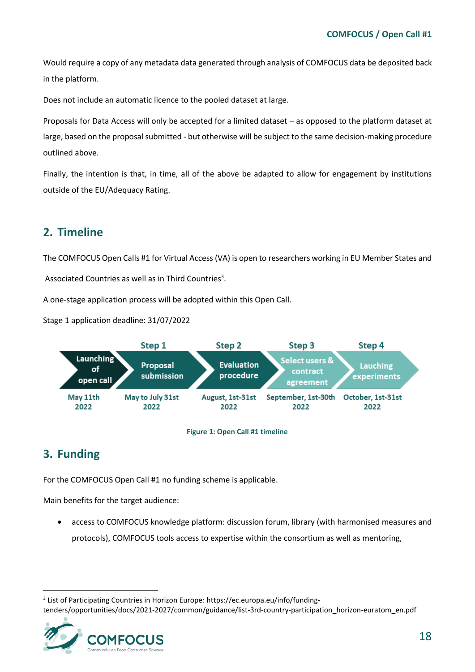Would require a copy of any metadata data generated through analysis of COMFOCUS data be deposited back in the platform.

Does not include an automatic licence to the pooled dataset at large.

Proposals for Data Access will only be accepted for a limited dataset – as opposed to the platform dataset at large, based on the proposal submitted - but otherwise will be subject to the same decision-making procedure outlined above.

Finally, the intention is that, in time, all of the above be adapted to allow for engagement by institutions outside of the EU/Adequacy Rating.

## <span id="page-17-0"></span>**2. Timeline**

The COMFOCUS Open Calls #1 for Virtual Access (VA) is open to researchers working in EU Member States and Associated Countries as well as in Third Countries<sup>3</sup>.

A one-stage application process will be adopted within this Open Call.

Stage 1 application deadline: 31/07/2022





## <span id="page-17-2"></span><span id="page-17-1"></span>**3. Funding**

For the COMFOCUS Open Call #1 no funding scheme is applicable.

Main benefits for the target audience:

• access to COMFOCUS knowledge platform: discussion forum, library (with harmonised measures and protocols), COMFOCUS tools access to expertise within the consortium as well as mentoring,

<sup>&</sup>lt;sup>3</sup> List of Participating Countries in Horizon Europe: https://ec.europa.eu/info/fundingtenders/opportunities/docs/2021-2027/common/guidance/list-3rd-country-participation\_horizon-euratom\_en.pdf

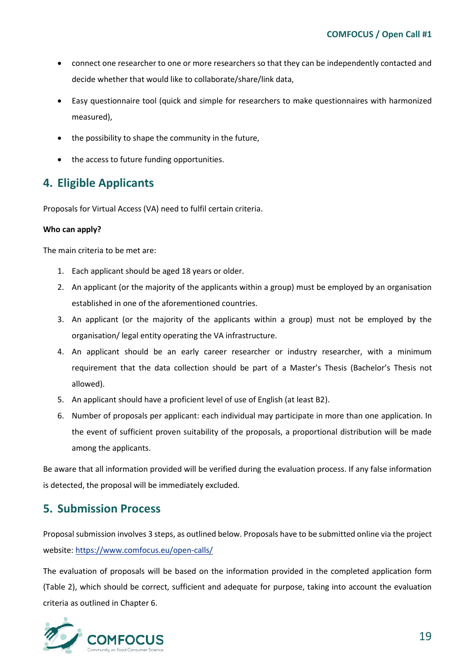- connect one researcher to one or more researchers so that they can be independently contacted and decide whether that would like to collaborate/share/link data,
- Easy questionnaire tool (quick and simple for researchers to make questionnaires with harmonized measured),
- the possibility to shape the community in the future,
- the access to future funding opportunities.

## <span id="page-18-0"></span>**4. Eligible Applicants**

Proposals for Virtual Access (VA) need to fulfil certain criteria.

#### **Who can apply?**

The main criteria to be met are:

- 1. Each applicant should be aged 18 years or older.
- 2. An applicant (or the majority of the applicants within a group) must be employed by an organisation established in one of the aforementioned countries.
- 3. An applicant (or the majority of the applicants within a group) must not be employed by the organisation/ legal entity operating the VA infrastructure.
- 4. An applicant should be an early career researcher or industry researcher, with a minimum requirement that the data collection should be part of a Master's Thesis (Bachelor's Thesis not allowed).
- 5. An applicant should have a proficient level of use of English (at least B2).
- 6. Number of proposals per applicant: each individual may participate in more than one application. In the event of sufficient proven suitability of the proposals, a proportional distribution will be made among the applicants.

Be aware that all information provided will be verified during the evaluation process. If any false information is detected, the proposal will be immediately excluded.

## <span id="page-18-1"></span>**5. Submission Process**

Proposal submission involves 3 steps, as outlined below. Proposals have to be submitted online via the project website[: https://www.comfocus.eu/open-calls/](https://www.comfocus.eu/open-calls/)

The evaluation of proposals will be based on the information provided in the completed application form (Table 2), which should be correct, sufficient and adequate for purpose, taking into account the evaluation criteria as outlined in Chapter 6.

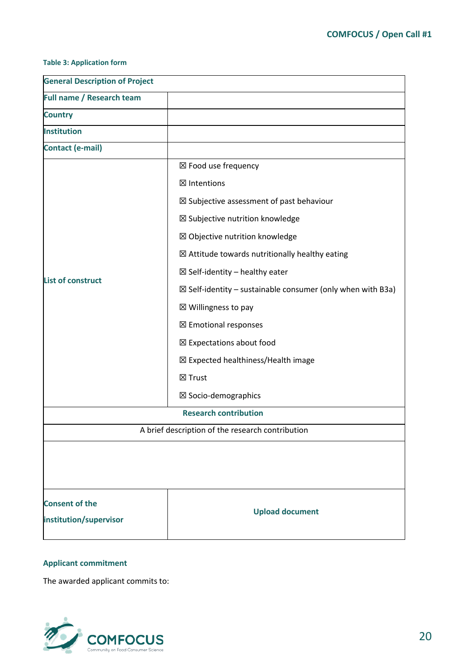#### <span id="page-19-0"></span>**Table 3: Application form**

| <b>General Description of Project</b>            |                                                                       |  |  |
|--------------------------------------------------|-----------------------------------------------------------------------|--|--|
| Full name / Research team                        |                                                                       |  |  |
| <b>Country</b>                                   |                                                                       |  |  |
| <b>Institution</b>                               |                                                                       |  |  |
| <b>Contact (e-mail)</b>                          |                                                                       |  |  |
|                                                  | ⊠ Food use frequency                                                  |  |  |
|                                                  | ⊠ Intentions                                                          |  |  |
|                                                  | $\boxtimes$ Subjective assessment of past behaviour                   |  |  |
|                                                  | ⊠ Subjective nutrition knowledge                                      |  |  |
|                                                  | ⊠ Objective nutrition knowledge                                       |  |  |
|                                                  | $\boxtimes$ Attitude towards nutritionally healthy eating             |  |  |
|                                                  | $\boxtimes$ Self-identity – healthy eater                             |  |  |
| <b>List of construct</b>                         | $\boxtimes$ Self-identity – sustainable consumer (only when with B3a) |  |  |
|                                                  | ⊠ Willingness to pay                                                  |  |  |
|                                                  | ⊠ Emotional responses                                                 |  |  |
|                                                  | $\boxtimes$ Expectations about food                                   |  |  |
|                                                  | ⊠ Expected healthiness/Health image                                   |  |  |
|                                                  | ⊠ Trust                                                               |  |  |
|                                                  | ⊠ Socio-demographics                                                  |  |  |
| <b>Research contribution</b>                     |                                                                       |  |  |
| A brief description of the research contribution |                                                                       |  |  |
|                                                  |                                                                       |  |  |
|                                                  |                                                                       |  |  |
|                                                  |                                                                       |  |  |
| <b>Consent of the</b>                            |                                                                       |  |  |
| institution/supervisor                           | <b>Upload document</b>                                                |  |  |
|                                                  |                                                                       |  |  |

#### **Applicant commitment**

The awarded applicant commits to:

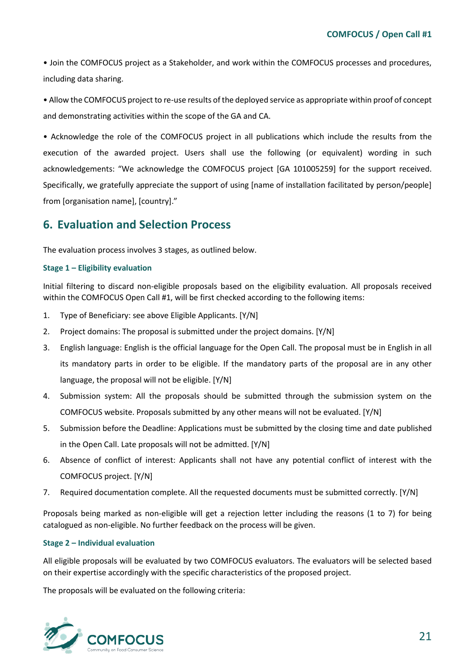• Join the COMFOCUS project as a Stakeholder, and work within the COMFOCUS processes and procedures, including data sharing.

• Allow the COMFOCUS project to re-use results of the deployed service as appropriate within proof of concept and demonstrating activities within the scope of the GA and CA.

• Acknowledge the role of the COMFOCUS project in all publications which include the results from the execution of the awarded project. Users shall use the following (or equivalent) wording in such acknowledgements: "We acknowledge the COMFOCUS project [GA 101005259] for the support received. Specifically, we gratefully appreciate the support of using [name of installation facilitated by person/people] from [organisation name], [country]."

## <span id="page-20-0"></span>**6. Evaluation and Selection Process**

The evaluation process involves 3 stages, as outlined below.

#### **Stage 1 – Eligibility evaluation**

Initial filtering to discard non-eligible proposals based on the eligibility evaluation. All proposals received within the COMFOCUS Open Call #1, will be first checked according to the following items:

- 1. Type of Beneficiary: see above Eligible Applicants. [Y/N]
- 2. Project domains: The proposal is submitted under the project domains. [Y/N]
- 3. English language: English is the official language for the Open Call. The proposal must be in English in all its mandatory parts in order to be eligible. If the mandatory parts of the proposal are in any other language, the proposal will not be eligible. [Y/N]
- 4. Submission system: All the proposals should be submitted through the submission system on the COMFOCUS website. Proposals submitted by any other means will not be evaluated. [Y/N]
- 5. Submission before the Deadline: Applications must be submitted by the closing time and date published in the Open Call. Late proposals will not be admitted. [Y/N]
- 6. Absence of conflict of interest: Applicants shall not have any potential conflict of interest with the COMFOCUS project. [Y/N]
- 7. Required documentation complete. All the requested documents must be submitted correctly. [Y/N]

Proposals being marked as non-eligible will get a rejection letter including the reasons (1 to 7) for being catalogued as non-eligible. No further feedback on the process will be given.

#### **Stage 2 – Individual evaluation**

All eligible proposals will be evaluated by two COMFOCUS evaluators. The evaluators will be selected based on their expertise accordingly with the specific characteristics of the proposed project.

The proposals will be evaluated on the following criteria:

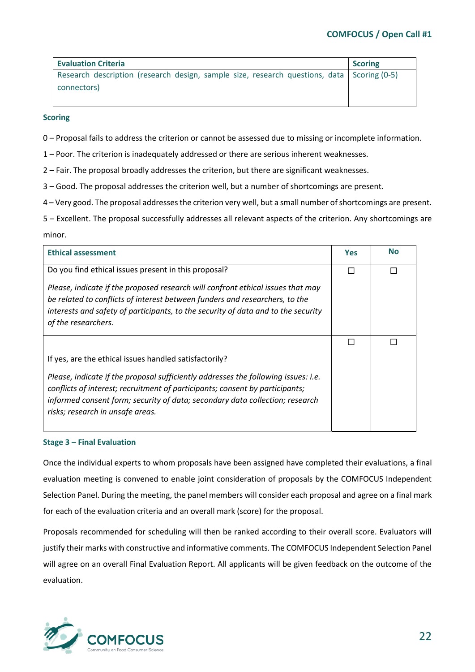| <b>Evaluation Criteria</b>                                                                   | <b>Scoring</b> |
|----------------------------------------------------------------------------------------------|----------------|
| Research description (research design, sample size, research questions, data   Scoring (0-5) |                |
| connectors)                                                                                  |                |
|                                                                                              |                |

#### **Scoring**

0 – Proposal fails to address the criterion or cannot be assessed due to missing or incomplete information.

1 – Poor. The criterion is inadequately addressed or there are serious inherent weaknesses.

2 – Fair. The proposal broadly addresses the criterion, but there are significant weaknesses.

3 – Good. The proposal addresses the criterion well, but a number of shortcomings are present.

4 – Very good. The proposal addresses the criterion very well, but a small number of shortcomings are present.

5 – Excellent. The proposal successfully addresses all relevant aspects of the criterion. Any shortcomings are minor.

| <b>Ethical assessment</b>                                                                                                                                                                                                                                                              | <b>Yes</b> | <b>No</b> |
|----------------------------------------------------------------------------------------------------------------------------------------------------------------------------------------------------------------------------------------------------------------------------------------|------------|-----------|
| Do you find ethical issues present in this proposal?                                                                                                                                                                                                                                   | П          | П         |
| Please, indicate if the proposed research will confront ethical issues that may                                                                                                                                                                                                        |            |           |
| be related to conflicts of interest between funders and researchers, to the                                                                                                                                                                                                            |            |           |
| interests and safety of participants, to the security of data and to the security<br>of the researchers.                                                                                                                                                                               |            |           |
|                                                                                                                                                                                                                                                                                        |            |           |
| If yes, are the ethical issues handled satisfactorily?                                                                                                                                                                                                                                 |            |           |
| Please, indicate if the proposal sufficiently addresses the following issues: i.e.<br>conflicts of interest; recruitment of participants; consent by participants;<br>informed consent form; security of data; secondary data collection; research<br>risks; research in unsafe areas. |            |           |

#### **Stage 3 – Final Evaluation**

Once the individual experts to whom proposals have been assigned have completed their evaluations, a final evaluation meeting is convened to enable joint consideration of proposals by the COMFOCUS Independent Selection Panel. During the meeting, the panel members will consider each proposal and agree on a final mark for each of the evaluation criteria and an overall mark (score) for the proposal.

Proposals recommended for scheduling will then be ranked according to their overall score. Evaluators will justify their marks with constructive and informative comments. The COMFOCUS Independent Selection Panel will agree on an overall Final Evaluation Report. All applicants will be given feedback on the outcome of the evaluation.

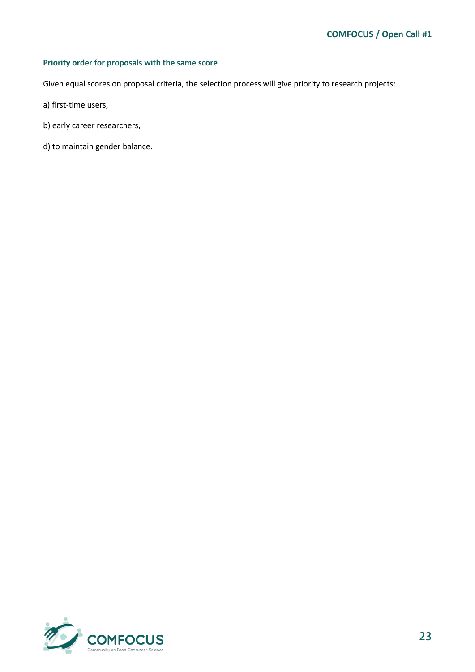#### **Priority order for proposals with the same score**

Given equal scores on proposal criteria, the selection process will give priority to research projects:

- a) first-time users,
- b) early career researchers,
- d) to maintain gender balance.